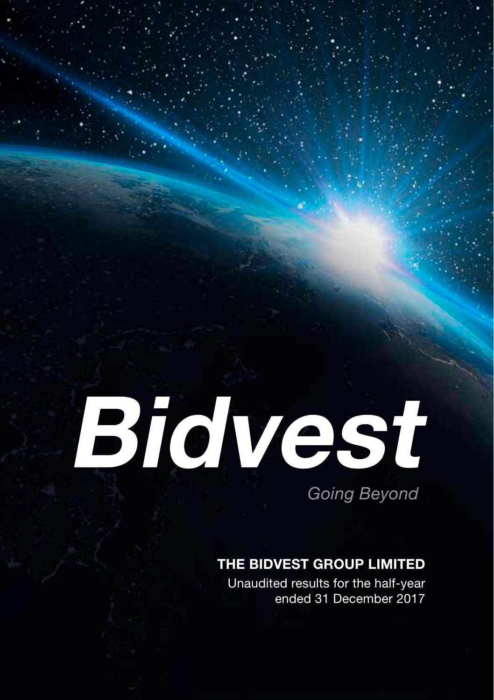# Bidvest

*Going Beyond*

## THE BIDVEST GROUP LIMITED

Unaudited results for the half-year ended 31 December 2017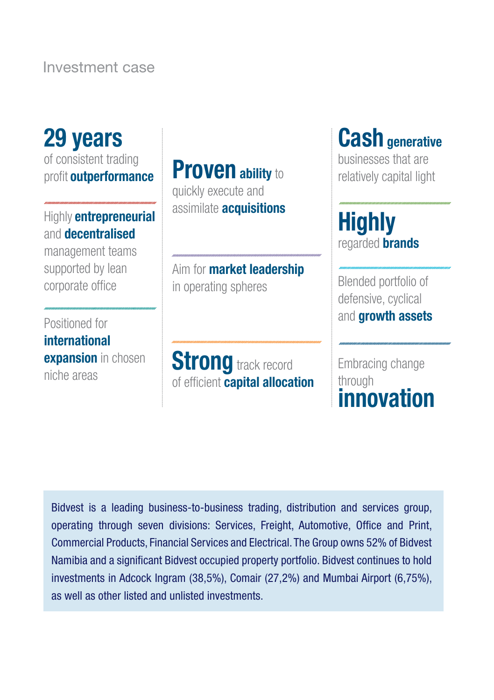Investment case

## 29 years of consistent trading profit **outperformance Assimilate acquisitions**<br>Highly **entrepreneurial** assimilate **acquisitions** and decentralised management teams supported by lean corporate office

Positioned for international **expansion** in chosen niche areas

**Proven** ability to **Proven** ability to **Proven** quickly execute and

Aim for **market leadership** in operating spheres

**Strong** track record of efficient **capital allocation** 

# Cash generative

**Highly** regarded **brands** 

Blended portfolio of defensive, cyclical and **growth assets** 

Embracing change through innovation

Bidvest is a leading business-to-business trading, distribution and services group, operating through seven divisions: Services, Freight, Automotive, Office and Print, Commercial Products, Financial Services and Electrical. The Group owns 52% of Bidvest Namibia and a significant Bidvest occupied property portfolio. Bidvest continues to hold investments in Adcock Ingram (38,5%), Comair (27,2%) and Mumbai Airport (6,75%), as well as other listed and unlisted investments.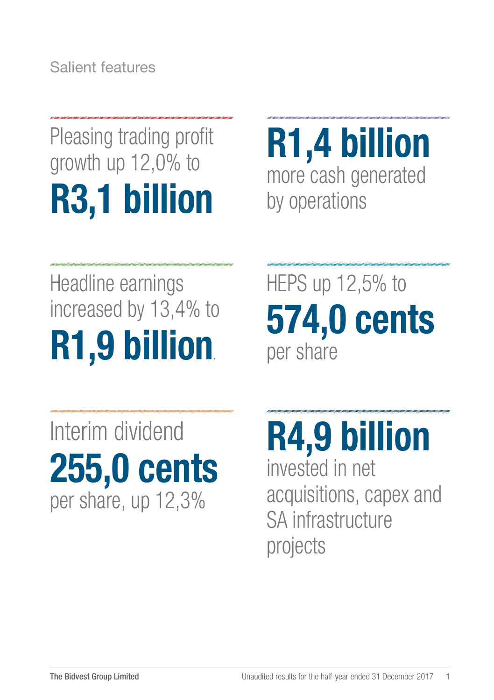Salient features

# Pleasing trading profit growth up 12,0% to R3,1 billion

R1,4 billion more cash generated by operations

# Headline earnings increased by 13,4% to R1,9 billion.

Interim dividend 255,0 cents per share, up 12,3%

HEPS up 12,5% to 574,0 cents per share

R4,9 billion invested in net acquisitions, capex and SA infrastructure projects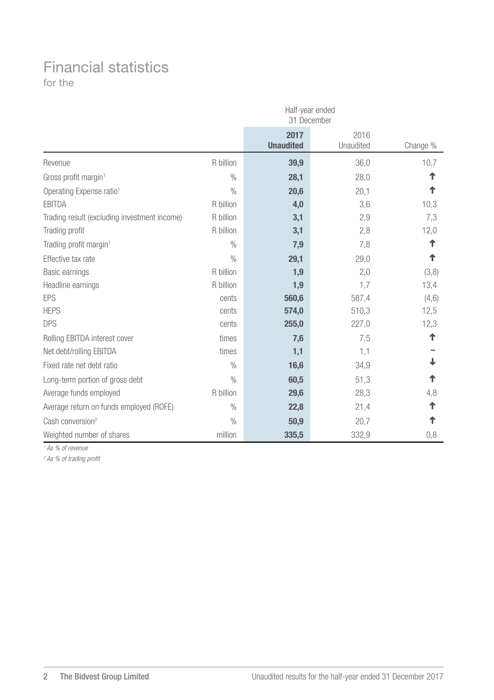## Financial statistics

for the

|                                              | Half-year ended<br>31 December |                          |                   |          |  |
|----------------------------------------------|--------------------------------|--------------------------|-------------------|----------|--|
|                                              |                                | 2017<br><b>Unaudited</b> | 2016<br>Unaudited | Change % |  |
| Revenue                                      | R billion                      | 39,9                     | 36,0              | 10,7     |  |
| Gross profit margin <sup>1</sup>             | $\frac{0}{0}$                  | 28,1                     | 28,0              | ↑        |  |
| Operating Expense ratio <sup>1</sup>         | $\frac{0}{0}$                  | 20,6                     | 20,1              | ↑        |  |
| <b>FBITDA</b>                                | R billion                      | 4,0                      | 3,6               | 10,3     |  |
| Trading result (excluding investment income) | R billion                      | 3,1                      | 2,9               | 7,3      |  |
| Trading profit                               | R billion                      | 3,1                      | 2,8               | 12,0     |  |
| Trading profit margin <sup>1</sup>           | $\frac{0}{0}$                  | 7,9                      | 7,8               | ተ        |  |
| Effective tax rate                           | $\frac{0}{0}$                  | 29,1                     | 29,0              | ↑        |  |
| Basic earnings                               | R billion                      | 1,9                      | 2,0               | (3,8)    |  |
| Headline earnings                            | R billion                      | 1,9                      | 1,7               | 13,4     |  |
| <b>FPS</b>                                   | cents                          | 560,6                    | 587,4             | (4,6)    |  |
| <b>HEPS</b>                                  | cents                          | 574,0                    | 510,3             | 12,5     |  |
| <b>DPS</b>                                   | cents                          | 255,0                    | 227,0             | 12,3     |  |
| Rolling EBITDA interest cover                | times                          | 7,6                      | 7,5               | ↑        |  |
| Net debt/rolling EBITDA                      | times                          | 1,1                      | 1,1               |          |  |
| Fixed rate net debt ratio                    | $\frac{0}{0}$                  | 16,6                     | 34,9              |          |  |
| Long-term portion of gross debt              | $\frac{0}{0}$                  | 60,5                     | 51,3              | ↑        |  |
| Average funds employed                       | R billion                      | 29,6                     | 28,3              | 4,8      |  |
| Average return on funds employed (ROFE)      | $\%$                           | 22,8                     | 21,4              | ተ        |  |
| Cash conversion <sup>2</sup>                 | $\frac{0}{0}$                  | 50,9                     | 20,7              | ↑        |  |
| Weighted number of shares                    | million                        | 335,5                    | 332,9             | 0,8      |  |

*1 As % of revenue*

*2 As % of trading profit*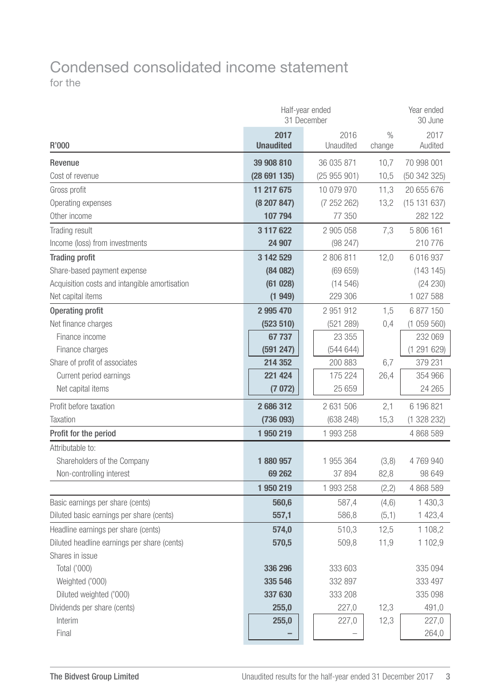## Condensed consolidated income statement for the

|                                               | Half-year ended<br>31 December | Year ended<br>30 June       |        |                 |  |
|-----------------------------------------------|--------------------------------|-----------------------------|--------|-----------------|--|
| R'000                                         | 2017<br><b>Unaudited</b>       | 2016<br>Unaudited<br>change |        | 2017<br>Audited |  |
| Revenue                                       | 39 908 810                     | 36 035 871                  | 10,7   | 70 998 001      |  |
| Cost of revenue                               | (28691135)                     | (25955901)                  | 10,5   | (50342325)      |  |
| Gross profit                                  | 11 217 675                     | 10 079 970                  | 11,3   | 20 655 676      |  |
| Operating expenses                            | (8207847)                      | (7252262)                   | 13,2   | (15131637)      |  |
| Other income                                  | 107 794                        | 77 350                      |        | 282 122         |  |
| Trading result                                | 3 117 622                      | 2 905 058                   | 7,3    | 5 806 161       |  |
| Income (loss) from investments                | 24 907                         | (98 247)                    |        | 210776          |  |
| <b>Trading profit</b>                         | 3 142 529                      | 2806811                     | 12,0   | 6 016 937       |  |
| Share-based payment expense                   | (84082)                        | (69659)                     |        | (143145)        |  |
| Acquisition costs and intangible amortisation | (61028)                        | (14546)                     |        | (24 230)        |  |
| Net capital items                             | (1949)                         | 229 306                     |        | 1 027 588       |  |
| <b>Operating profit</b>                       | 2 995 470                      | 2 951 912                   | 1,5    | 6 877 150       |  |
| Net finance charges                           | (523 510)                      | (521 289)                   | 0.4    | (1059560)       |  |
| Finance income                                | 67737                          | 23 355                      |        | 232 069         |  |
| Finance charges                               | (591 247)                      | (544644)                    |        | (1291629)       |  |
| Share of profit of associates                 | 214 352                        | 200 883                     | 6,7    | 379 231         |  |
| Current period earnings                       | 221 424                        | 175 224                     | 26.4   | 354 966         |  |
| Net capital items                             | (7072)                         | 25 659                      |        | 24 265          |  |
| Profit before taxation                        | 2686312                        | 2 631 506                   | 2,1    | 6 196 821       |  |
| Taxation                                      | (736 093)                      | (638 248)                   | 15,3   | (1328232)       |  |
| Profit for the period                         | 1950219                        | 1993258                     |        | 4 868 589       |  |
| Attributable to:                              |                                |                             |        |                 |  |
| Shareholders of the Company                   | 1880957                        | 1 955 364                   | (3,8)  | 4769940         |  |
| Non-controlling interest                      | 69 262                         | 37 894                      | 82,8   | 98 649          |  |
|                                               | 1950219                        | 1 993 258                   | (2, 2) | 4 868 589       |  |
| Basic earnings per share (cents)              | 560,6                          | 587,4                       | (4, 6) | 1 430,3         |  |
| Diluted basic earnings per share (cents)      | 557,1                          | 586,8                       | (5,1)  | 1 423,4         |  |
| Headline earnings per share (cents)           | 574,0                          | 510,3                       | 12,5   | 1 108.2         |  |
| Diluted headline earnings per share (cents)   | 570,5                          | 509,8                       | 11,9   | 1 102,9         |  |
| Shares in issue                               |                                |                             |        |                 |  |
| Total ('000)                                  | 336 296                        | 333 603                     |        | 335 094         |  |
| Weighted ('000)                               | 335 546                        | 332 897                     |        | 333 497         |  |
| Diluted weighted ('000)                       | 337 630                        | 333 208                     |        | 335 098         |  |
| Dividends per share (cents)                   | 255,0                          | 227,0                       | 12,3   | 491,0           |  |
| Interim                                       | 255,0                          | 227,0                       | 12,3   | 227,0           |  |
| Final                                         |                                |                             |        | 264,0           |  |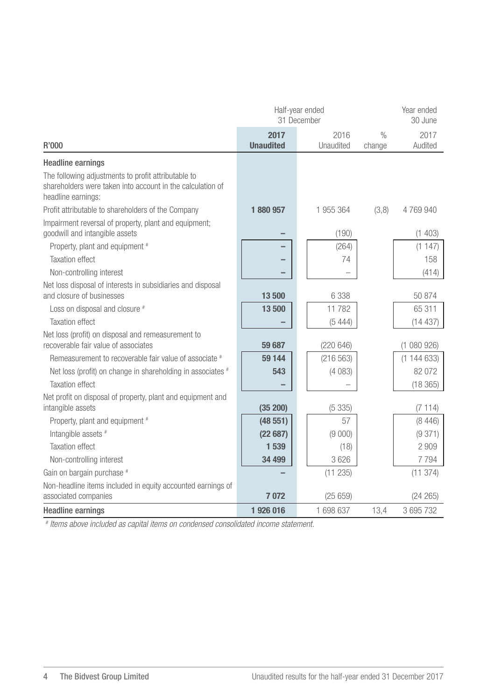|                                                                                                                                         | Half-year ended<br>31 December | Year ended<br>30 June |                         |                 |
|-----------------------------------------------------------------------------------------------------------------------------------------|--------------------------------|-----------------------|-------------------------|-----------------|
| R'000                                                                                                                                   | 2017<br><b>Unaudited</b>       | 2016<br>Unaudited     | $\frac{0}{n}$<br>change | 2017<br>Audited |
| <b>Headline earnings</b>                                                                                                                |                                |                       |                         |                 |
| The following adjustments to profit attributable to<br>shareholders were taken into account in the calculation of<br>headline earnings: |                                |                       |                         |                 |
| Profit attributable to shareholders of the Company                                                                                      | 1880957                        | 1955364               | (3,8)                   | 4769940         |
| Impairment reversal of property, plant and equipment;<br>goodwill and intangible assets                                                 |                                | (190)                 |                         | (1403)          |
| Property, plant and equipment #                                                                                                         |                                | (264)                 |                         | (1147)          |
| <b>Taxation effect</b>                                                                                                                  |                                | 74                    |                         | 158             |
| Non-controlling interest                                                                                                                |                                |                       |                         | (414)           |
| Net loss disposal of interests in subsidiaries and disposal<br>and closure of businesses                                                | 13500                          | 6338                  |                         | 50874           |
| Loss on disposal and closure #                                                                                                          | 13500                          | 11 782                |                         | 65 311          |
| <b>Taxation effect</b>                                                                                                                  |                                | (5444)                |                         | (14437)         |
| Net loss (profit) on disposal and remeasurement to<br>recoverable fair value of associates                                              | 59 687                         | (220646)              |                         | (1080926)       |
| Remeasurement to recoverable fair value of associate #                                                                                  | 59 144                         | (216 563)             |                         | (1144633)       |
| Net loss (profit) on change in shareholding in associates #                                                                             | 543                            | (4083)                |                         | 82 072          |
| <b>Taxation effect</b>                                                                                                                  |                                |                       |                         | (18365)         |
| Net profit on disposal of property, plant and equipment and<br>intangible assets                                                        | (35 200)                       | (5335)                |                         | (7114)          |
| Property, plant and equipment #                                                                                                         | (48551)                        | 57                    |                         | (8446)          |
| Intangible assets #                                                                                                                     | (22687)                        | (9 000)               |                         | (9371)          |
| <b>Taxation effect</b>                                                                                                                  | 1 539                          | (18)                  |                         | 2909            |
| Non-controlling interest                                                                                                                | 34 499                         | 3 6 2 6               |                         | 7 7 9 4         |
| Gain on bargain purchase #                                                                                                              |                                | (11 235)              |                         | (11374)         |
| Non-headline items included in equity accounted earnings of<br>associated companies                                                     | 7 0 7 2                        | (25659)               |                         | (24 265)        |
| <b>Headline earnings</b>                                                                                                                | 1926016                        | 1 698 637             | 13.4                    | 3 695 732       |

*# Items above included as capital items on condensed consolidated income statement.*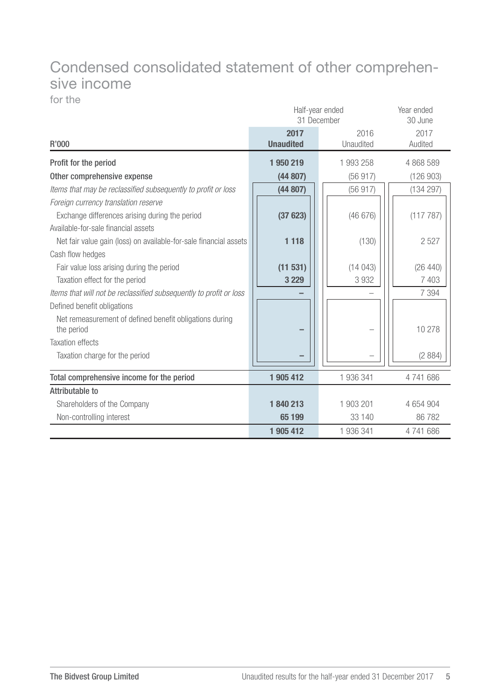## Condensed consolidated statement of other comprehensive income

for the

|                                                                       | Half-year ended<br>31 December | Year ended<br>30 June |                 |
|-----------------------------------------------------------------------|--------------------------------|-----------------------|-----------------|
| R'000                                                                 | 2017<br><b>Unaudited</b>       | 2016<br>Unaudited     | 2017<br>Audited |
| Profit for the period                                                 | 1950219                        | 1 993 258             | 4 868 589       |
| Other comprehensive expense                                           | (44807)                        | (56917)               | (126903)        |
| Items that may be reclassified subsequently to profit or loss         | (44807)                        | (56917)               | (134 297)       |
| Foreign currency translation reserve                                  |                                |                       |                 |
| Exchange differences arising during the period                        | (37623)                        | (46676)               | (117 787)       |
| Available-for-sale financial assets                                   |                                |                       |                 |
| Net fair value gain (loss) on available-for-sale financial assets     | 1 1 1 8                        | (130)                 | 2527            |
| Cash flow hedges                                                      |                                |                       |                 |
| Fair value loss arising during the period                             | (11531)                        | (14043)               | (26 440)        |
| Taxation effect for the period                                        | 3 2 2 9                        | 3932                  | 7 4 0 3         |
| Items that will not be reclassified subsequently to profit or loss    |                                |                       | 7 3 9 4         |
| Defined benefit obligations                                           |                                |                       |                 |
| Net remeasurement of defined benefit obligations during<br>the period |                                |                       | 10 278          |
| <b>Taxation effects</b>                                               |                                |                       |                 |
| Taxation charge for the period                                        |                                |                       | (2884)          |
| Total comprehensive income for the period                             | 1 905 412                      | 1 936 341             | 4741686         |
| Attributable to                                                       |                                |                       |                 |
| Shareholders of the Company                                           | 1840213                        | 1 903 201             | 4 654 904       |
| Non-controlling interest                                              | 65 199                         | 33 140                | 86782           |
|                                                                       | 1 905 412                      | 1 936 341             | 4741686         |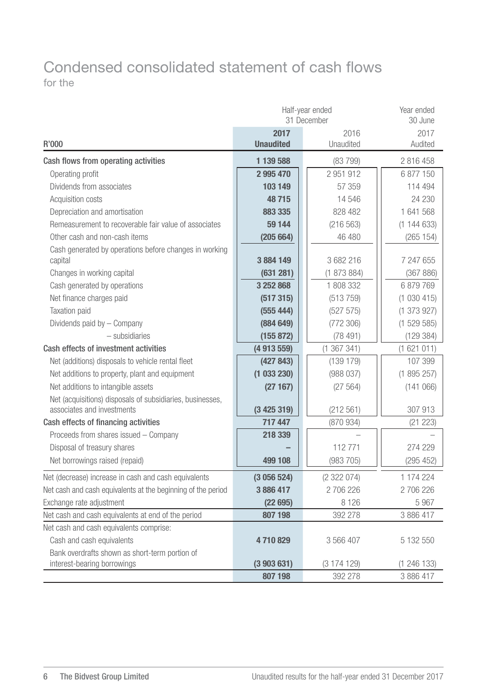## Condensed consolidated statement of cash flows for the

|                                                                                         | Half-year ended<br>31 December | Year ended<br>30 June |             |
|-----------------------------------------------------------------------------------------|--------------------------------|-----------------------|-------------|
|                                                                                         | 2017                           | 2016                  | 2017        |
| R'000                                                                                   | <b>Unaudited</b>               | Unaudited             | Audited     |
| Cash flows from operating activities                                                    | 1 139 588                      | (83799)               | 2 816 458   |
| Operating profit                                                                        | 2 995 470                      | 2 951 912             | 6877150     |
| Dividends from associates                                                               | 103 149                        | 57 359                | 114 494     |
| Acquisition costs                                                                       | 48715                          | 14 546                | 24 230      |
| Depreciation and amortisation                                                           | 883 335                        | 828 482               | 1 641 568   |
| Remeasurement to recoverable fair value of associates                                   | 59 144                         | (216 563)             | (1144633)   |
| Other cash and non-cash items                                                           | (205664)                       | 46 480                | (265 154)   |
| Cash generated by operations before changes in working                                  |                                |                       |             |
| capital                                                                                 | 3884149                        | 3682216               | 7 247 655   |
| Changes in working capital                                                              | (631 281)                      | (1873884)             | (367 886)   |
| Cash generated by operations                                                            | 3 252 868                      | 1 808 332             | 6879769     |
| Net finance charges paid                                                                | (517315)                       | (513759)              | (1030415)   |
| Taxation paid                                                                           | (555 444)                      | (527 575)             | (1 373 927) |
| Dividends paid by - Company                                                             | (884649)                       | (772306)              | (1529585)   |
| $-$ subsidiaries                                                                        | (155 872)                      | (78491)               | (129 384)   |
| Cash effects of investment activities                                                   | (4 913 559)                    | (1367341)             | (1621011)   |
| Net (additions) disposals to vehicle rental fleet                                       | (427843)                       | (139179)              | 107 399     |
| Net additions to property, plant and equipment                                          | (1033230)                      | (988037)              | (1895257)   |
| Net additions to intangible assets                                                      | (27167)                        | (27 564)              | (141066)    |
| Net (acquisitions) disposals of subsidiaries, businesses,<br>associates and investments | (3425319)                      | (212 561)             | 307 913     |
| Cash effects of financing activities                                                    | 717 447                        | (870934)              | (21 223)    |
| Proceeds from shares issued - Company                                                   | 218 339                        |                       |             |
| Disposal of treasury shares                                                             |                                | 112771                | 274 229     |
| Net borrowings raised (repaid)                                                          | 499 108                        | (983705)              | (295 452)   |
| Net (decrease) increase in cash and cash equivalents                                    | (3056524)                      | (2322074)             | 1 174 224   |
| Net cash and cash equivalents at the beginning of the period                            | 3886417                        | 2706226               | 2706226     |
| Exchange rate adjustment                                                                | (22695)                        | 8 1 2 6               | 5967        |
| Net cash and cash equivalents at end of the period                                      | 807 198                        | 392 278               | 3 886 417   |
| Net cash and cash equivalents comprise:                                                 |                                |                       |             |
| Cash and cash equivalents                                                               | 4710829                        | 3 566 407             | 5 132 550   |
| Bank overdrafts shown as short-term portion of                                          |                                |                       |             |
| interest-bearing borrowings                                                             | (3903631)                      | (3174129)             | (1 246 133) |
|                                                                                         | 807 198                        | 392 278               | 3 886 417   |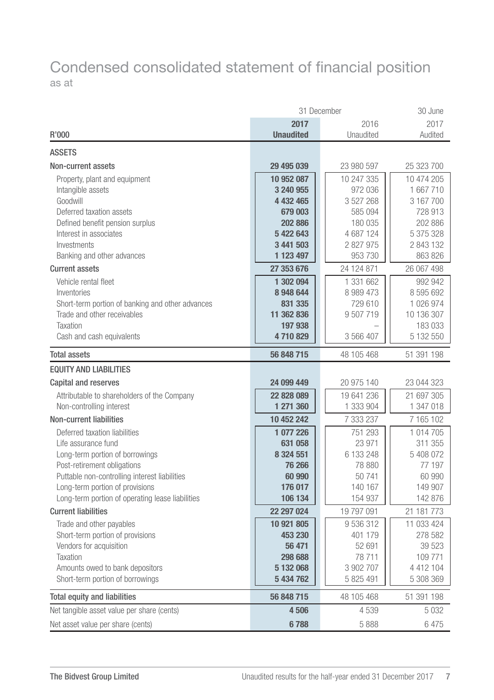## Condensed consolidated statement of financial position as at

| 2017<br>2016<br>2017<br><b>Unaudited</b><br>Unaudited<br>Audited<br>R'000<br><b>ASSETS</b><br>Non-current assets<br>29 495 039<br>23 980 597<br>25 323 700<br>10 247 335<br>10 474 205<br>Property, plant and equipment<br>10 952 087<br>Intangible assets<br>3 240 955<br>972 036<br>1 667 710<br>Goodwill<br>4 432 465<br>3 527 268<br>3 167 700<br>Deferred taxation assets<br>679 003<br>585 094<br>728 913<br>Defined benefit pension surplus<br>202 886<br>180 035<br>202 886<br>Interest in associates<br>5 422 643<br>4 687 124<br>5 375 328<br>Investments<br>3 441 503<br>2 827 975<br>2 843 132<br>863 826<br>Banking and other advances<br>1 123 497<br>953 730<br>24 124 871<br><b>Current assets</b><br>27 353 676<br>26 067 498<br>Vehicle rental fleet<br>1 302 094<br>1 331 662<br>992 942<br>8948644<br>8 989 473<br>8 595 692<br>Inventories<br>Short-term portion of banking and other advances<br>831 335<br>729 610<br>1 026 974<br>Trade and other receivables<br>9 507 719<br>10 136 307<br>11 362 836<br>Taxation<br>197 938<br>183 033<br>Cash and cash equivalents<br>4710829<br>3 566 407<br>5 132 550<br><b>Total assets</b><br>56 848 715<br>48 105 468<br>51 391 198<br><b>EQUITY AND LIABILITIES</b><br>24 099 449<br>20 975 140<br>Capital and reserves<br>23 044 323<br>22 828 089<br>19 641 236<br>21 697 305<br>Attributable to shareholders of the Company<br>Non-controlling interest<br>1 271 360<br>1 333 904<br>1 347 018<br><b>Non-current liabilities</b><br>10 452 242<br>7 333 237<br>7 165 102<br>Deferred taxation liabilities<br>1077226<br>751 293<br>1 014 705<br>Life assurance fund<br>631 058<br>23 971<br>311 355<br>6 133 248<br>8 3 2 4 5 5 1<br>5 408 072<br>Long-term portion of borrowings<br>Post-retirement obligations<br>77 197<br>76 266<br>78 880<br>Puttable non-controlling interest liabilities<br>50741<br>60 990<br>60 990<br>Long-term portion of provisions<br>176 017<br>140 167<br>149 907<br>Long-term portion of operating lease liabilities<br>106 134<br>154 937<br>142 876<br><b>Current liabilities</b><br>19 797 091<br>21 181 773<br>22 297 024<br>10 921 805<br>9536312<br>11 033 424<br>Trade and other payables<br>278 582<br>Short-term portion of provisions<br>453 230<br>401 179<br>Vendors for acquisition<br>39 5 23<br>56 471<br>52 691<br>Taxation<br>298 688<br>78711<br>109771<br>3 902 707<br>Amounts owed to bank depositors<br>5 132 068<br>4 412 104<br>Short-term portion of borrowings<br>5 434 762<br>5 825 491<br>5 308 369<br><b>Total equity and liabilities</b><br>56 848 715<br>48 105 468<br>51 391 198<br>Net tangible asset value per share (cents)<br>4506<br>4539<br>5032<br>Net asset value per share (cents)<br>6788<br>5888<br>6475 | 31 December | 30 June |  |
|--------------------------------------------------------------------------------------------------------------------------------------------------------------------------------------------------------------------------------------------------------------------------------------------------------------------------------------------------------------------------------------------------------------------------------------------------------------------------------------------------------------------------------------------------------------------------------------------------------------------------------------------------------------------------------------------------------------------------------------------------------------------------------------------------------------------------------------------------------------------------------------------------------------------------------------------------------------------------------------------------------------------------------------------------------------------------------------------------------------------------------------------------------------------------------------------------------------------------------------------------------------------------------------------------------------------------------------------------------------------------------------------------------------------------------------------------------------------------------------------------------------------------------------------------------------------------------------------------------------------------------------------------------------------------------------------------------------------------------------------------------------------------------------------------------------------------------------------------------------------------------------------------------------------------------------------------------------------------------------------------------------------------------------------------------------------------------------------------------------------------------------------------------------------------------------------------------------------------------------------------------------------------------------------------------------------------------------------------------------------------------------------------------------------------------------------------------------------------------------------------------------------------------------------------------------------------------------------------------------------------------------------------------------------------------------------------------------------------------------------------------|-------------|---------|--|
|                                                                                                                                                                                                                                                                                                                                                                                                                                                                                                                                                                                                                                                                                                                                                                                                                                                                                                                                                                                                                                                                                                                                                                                                                                                                                                                                                                                                                                                                                                                                                                                                                                                                                                                                                                                                                                                                                                                                                                                                                                                                                                                                                                                                                                                                                                                                                                                                                                                                                                                                                                                                                                                                                                                                                        |             |         |  |
|                                                                                                                                                                                                                                                                                                                                                                                                                                                                                                                                                                                                                                                                                                                                                                                                                                                                                                                                                                                                                                                                                                                                                                                                                                                                                                                                                                                                                                                                                                                                                                                                                                                                                                                                                                                                                                                                                                                                                                                                                                                                                                                                                                                                                                                                                                                                                                                                                                                                                                                                                                                                                                                                                                                                                        |             |         |  |
|                                                                                                                                                                                                                                                                                                                                                                                                                                                                                                                                                                                                                                                                                                                                                                                                                                                                                                                                                                                                                                                                                                                                                                                                                                                                                                                                                                                                                                                                                                                                                                                                                                                                                                                                                                                                                                                                                                                                                                                                                                                                                                                                                                                                                                                                                                                                                                                                                                                                                                                                                                                                                                                                                                                                                        |             |         |  |
|                                                                                                                                                                                                                                                                                                                                                                                                                                                                                                                                                                                                                                                                                                                                                                                                                                                                                                                                                                                                                                                                                                                                                                                                                                                                                                                                                                                                                                                                                                                                                                                                                                                                                                                                                                                                                                                                                                                                                                                                                                                                                                                                                                                                                                                                                                                                                                                                                                                                                                                                                                                                                                                                                                                                                        |             |         |  |
|                                                                                                                                                                                                                                                                                                                                                                                                                                                                                                                                                                                                                                                                                                                                                                                                                                                                                                                                                                                                                                                                                                                                                                                                                                                                                                                                                                                                                                                                                                                                                                                                                                                                                                                                                                                                                                                                                                                                                                                                                                                                                                                                                                                                                                                                                                                                                                                                                                                                                                                                                                                                                                                                                                                                                        |             |         |  |
|                                                                                                                                                                                                                                                                                                                                                                                                                                                                                                                                                                                                                                                                                                                                                                                                                                                                                                                                                                                                                                                                                                                                                                                                                                                                                                                                                                                                                                                                                                                                                                                                                                                                                                                                                                                                                                                                                                                                                                                                                                                                                                                                                                                                                                                                                                                                                                                                                                                                                                                                                                                                                                                                                                                                                        |             |         |  |
|                                                                                                                                                                                                                                                                                                                                                                                                                                                                                                                                                                                                                                                                                                                                                                                                                                                                                                                                                                                                                                                                                                                                                                                                                                                                                                                                                                                                                                                                                                                                                                                                                                                                                                                                                                                                                                                                                                                                                                                                                                                                                                                                                                                                                                                                                                                                                                                                                                                                                                                                                                                                                                                                                                                                                        |             |         |  |
|                                                                                                                                                                                                                                                                                                                                                                                                                                                                                                                                                                                                                                                                                                                                                                                                                                                                                                                                                                                                                                                                                                                                                                                                                                                                                                                                                                                                                                                                                                                                                                                                                                                                                                                                                                                                                                                                                                                                                                                                                                                                                                                                                                                                                                                                                                                                                                                                                                                                                                                                                                                                                                                                                                                                                        |             |         |  |
|                                                                                                                                                                                                                                                                                                                                                                                                                                                                                                                                                                                                                                                                                                                                                                                                                                                                                                                                                                                                                                                                                                                                                                                                                                                                                                                                                                                                                                                                                                                                                                                                                                                                                                                                                                                                                                                                                                                                                                                                                                                                                                                                                                                                                                                                                                                                                                                                                                                                                                                                                                                                                                                                                                                                                        |             |         |  |
|                                                                                                                                                                                                                                                                                                                                                                                                                                                                                                                                                                                                                                                                                                                                                                                                                                                                                                                                                                                                                                                                                                                                                                                                                                                                                                                                                                                                                                                                                                                                                                                                                                                                                                                                                                                                                                                                                                                                                                                                                                                                                                                                                                                                                                                                                                                                                                                                                                                                                                                                                                                                                                                                                                                                                        |             |         |  |
|                                                                                                                                                                                                                                                                                                                                                                                                                                                                                                                                                                                                                                                                                                                                                                                                                                                                                                                                                                                                                                                                                                                                                                                                                                                                                                                                                                                                                                                                                                                                                                                                                                                                                                                                                                                                                                                                                                                                                                                                                                                                                                                                                                                                                                                                                                                                                                                                                                                                                                                                                                                                                                                                                                                                                        |             |         |  |
|                                                                                                                                                                                                                                                                                                                                                                                                                                                                                                                                                                                                                                                                                                                                                                                                                                                                                                                                                                                                                                                                                                                                                                                                                                                                                                                                                                                                                                                                                                                                                                                                                                                                                                                                                                                                                                                                                                                                                                                                                                                                                                                                                                                                                                                                                                                                                                                                                                                                                                                                                                                                                                                                                                                                                        |             |         |  |
|                                                                                                                                                                                                                                                                                                                                                                                                                                                                                                                                                                                                                                                                                                                                                                                                                                                                                                                                                                                                                                                                                                                                                                                                                                                                                                                                                                                                                                                                                                                                                                                                                                                                                                                                                                                                                                                                                                                                                                                                                                                                                                                                                                                                                                                                                                                                                                                                                                                                                                                                                                                                                                                                                                                                                        |             |         |  |
|                                                                                                                                                                                                                                                                                                                                                                                                                                                                                                                                                                                                                                                                                                                                                                                                                                                                                                                                                                                                                                                                                                                                                                                                                                                                                                                                                                                                                                                                                                                                                                                                                                                                                                                                                                                                                                                                                                                                                                                                                                                                                                                                                                                                                                                                                                                                                                                                                                                                                                                                                                                                                                                                                                                                                        |             |         |  |
|                                                                                                                                                                                                                                                                                                                                                                                                                                                                                                                                                                                                                                                                                                                                                                                                                                                                                                                                                                                                                                                                                                                                                                                                                                                                                                                                                                                                                                                                                                                                                                                                                                                                                                                                                                                                                                                                                                                                                                                                                                                                                                                                                                                                                                                                                                                                                                                                                                                                                                                                                                                                                                                                                                                                                        |             |         |  |
|                                                                                                                                                                                                                                                                                                                                                                                                                                                                                                                                                                                                                                                                                                                                                                                                                                                                                                                                                                                                                                                                                                                                                                                                                                                                                                                                                                                                                                                                                                                                                                                                                                                                                                                                                                                                                                                                                                                                                                                                                                                                                                                                                                                                                                                                                                                                                                                                                                                                                                                                                                                                                                                                                                                                                        |             |         |  |
|                                                                                                                                                                                                                                                                                                                                                                                                                                                                                                                                                                                                                                                                                                                                                                                                                                                                                                                                                                                                                                                                                                                                                                                                                                                                                                                                                                                                                                                                                                                                                                                                                                                                                                                                                                                                                                                                                                                                                                                                                                                                                                                                                                                                                                                                                                                                                                                                                                                                                                                                                                                                                                                                                                                                                        |             |         |  |
|                                                                                                                                                                                                                                                                                                                                                                                                                                                                                                                                                                                                                                                                                                                                                                                                                                                                                                                                                                                                                                                                                                                                                                                                                                                                                                                                                                                                                                                                                                                                                                                                                                                                                                                                                                                                                                                                                                                                                                                                                                                                                                                                                                                                                                                                                                                                                                                                                                                                                                                                                                                                                                                                                                                                                        |             |         |  |
|                                                                                                                                                                                                                                                                                                                                                                                                                                                                                                                                                                                                                                                                                                                                                                                                                                                                                                                                                                                                                                                                                                                                                                                                                                                                                                                                                                                                                                                                                                                                                                                                                                                                                                                                                                                                                                                                                                                                                                                                                                                                                                                                                                                                                                                                                                                                                                                                                                                                                                                                                                                                                                                                                                                                                        |             |         |  |
|                                                                                                                                                                                                                                                                                                                                                                                                                                                                                                                                                                                                                                                                                                                                                                                                                                                                                                                                                                                                                                                                                                                                                                                                                                                                                                                                                                                                                                                                                                                                                                                                                                                                                                                                                                                                                                                                                                                                                                                                                                                                                                                                                                                                                                                                                                                                                                                                                                                                                                                                                                                                                                                                                                                                                        |             |         |  |
|                                                                                                                                                                                                                                                                                                                                                                                                                                                                                                                                                                                                                                                                                                                                                                                                                                                                                                                                                                                                                                                                                                                                                                                                                                                                                                                                                                                                                                                                                                                                                                                                                                                                                                                                                                                                                                                                                                                                                                                                                                                                                                                                                                                                                                                                                                                                                                                                                                                                                                                                                                                                                                                                                                                                                        |             |         |  |
|                                                                                                                                                                                                                                                                                                                                                                                                                                                                                                                                                                                                                                                                                                                                                                                                                                                                                                                                                                                                                                                                                                                                                                                                                                                                                                                                                                                                                                                                                                                                                                                                                                                                                                                                                                                                                                                                                                                                                                                                                                                                                                                                                                                                                                                                                                                                                                                                                                                                                                                                                                                                                                                                                                                                                        |             |         |  |
|                                                                                                                                                                                                                                                                                                                                                                                                                                                                                                                                                                                                                                                                                                                                                                                                                                                                                                                                                                                                                                                                                                                                                                                                                                                                                                                                                                                                                                                                                                                                                                                                                                                                                                                                                                                                                                                                                                                                                                                                                                                                                                                                                                                                                                                                                                                                                                                                                                                                                                                                                                                                                                                                                                                                                        |             |         |  |
|                                                                                                                                                                                                                                                                                                                                                                                                                                                                                                                                                                                                                                                                                                                                                                                                                                                                                                                                                                                                                                                                                                                                                                                                                                                                                                                                                                                                                                                                                                                                                                                                                                                                                                                                                                                                                                                                                                                                                                                                                                                                                                                                                                                                                                                                                                                                                                                                                                                                                                                                                                                                                                                                                                                                                        |             |         |  |
|                                                                                                                                                                                                                                                                                                                                                                                                                                                                                                                                                                                                                                                                                                                                                                                                                                                                                                                                                                                                                                                                                                                                                                                                                                                                                                                                                                                                                                                                                                                                                                                                                                                                                                                                                                                                                                                                                                                                                                                                                                                                                                                                                                                                                                                                                                                                                                                                                                                                                                                                                                                                                                                                                                                                                        |             |         |  |
|                                                                                                                                                                                                                                                                                                                                                                                                                                                                                                                                                                                                                                                                                                                                                                                                                                                                                                                                                                                                                                                                                                                                                                                                                                                                                                                                                                                                                                                                                                                                                                                                                                                                                                                                                                                                                                                                                                                                                                                                                                                                                                                                                                                                                                                                                                                                                                                                                                                                                                                                                                                                                                                                                                                                                        |             |         |  |
|                                                                                                                                                                                                                                                                                                                                                                                                                                                                                                                                                                                                                                                                                                                                                                                                                                                                                                                                                                                                                                                                                                                                                                                                                                                                                                                                                                                                                                                                                                                                                                                                                                                                                                                                                                                                                                                                                                                                                                                                                                                                                                                                                                                                                                                                                                                                                                                                                                                                                                                                                                                                                                                                                                                                                        |             |         |  |
|                                                                                                                                                                                                                                                                                                                                                                                                                                                                                                                                                                                                                                                                                                                                                                                                                                                                                                                                                                                                                                                                                                                                                                                                                                                                                                                                                                                                                                                                                                                                                                                                                                                                                                                                                                                                                                                                                                                                                                                                                                                                                                                                                                                                                                                                                                                                                                                                                                                                                                                                                                                                                                                                                                                                                        |             |         |  |
|                                                                                                                                                                                                                                                                                                                                                                                                                                                                                                                                                                                                                                                                                                                                                                                                                                                                                                                                                                                                                                                                                                                                                                                                                                                                                                                                                                                                                                                                                                                                                                                                                                                                                                                                                                                                                                                                                                                                                                                                                                                                                                                                                                                                                                                                                                                                                                                                                                                                                                                                                                                                                                                                                                                                                        |             |         |  |
|                                                                                                                                                                                                                                                                                                                                                                                                                                                                                                                                                                                                                                                                                                                                                                                                                                                                                                                                                                                                                                                                                                                                                                                                                                                                                                                                                                                                                                                                                                                                                                                                                                                                                                                                                                                                                                                                                                                                                                                                                                                                                                                                                                                                                                                                                                                                                                                                                                                                                                                                                                                                                                                                                                                                                        |             |         |  |
|                                                                                                                                                                                                                                                                                                                                                                                                                                                                                                                                                                                                                                                                                                                                                                                                                                                                                                                                                                                                                                                                                                                                                                                                                                                                                                                                                                                                                                                                                                                                                                                                                                                                                                                                                                                                                                                                                                                                                                                                                                                                                                                                                                                                                                                                                                                                                                                                                                                                                                                                                                                                                                                                                                                                                        |             |         |  |
|                                                                                                                                                                                                                                                                                                                                                                                                                                                                                                                                                                                                                                                                                                                                                                                                                                                                                                                                                                                                                                                                                                                                                                                                                                                                                                                                                                                                                                                                                                                                                                                                                                                                                                                                                                                                                                                                                                                                                                                                                                                                                                                                                                                                                                                                                                                                                                                                                                                                                                                                                                                                                                                                                                                                                        |             |         |  |
|                                                                                                                                                                                                                                                                                                                                                                                                                                                                                                                                                                                                                                                                                                                                                                                                                                                                                                                                                                                                                                                                                                                                                                                                                                                                                                                                                                                                                                                                                                                                                                                                                                                                                                                                                                                                                                                                                                                                                                                                                                                                                                                                                                                                                                                                                                                                                                                                                                                                                                                                                                                                                                                                                                                                                        |             |         |  |
|                                                                                                                                                                                                                                                                                                                                                                                                                                                                                                                                                                                                                                                                                                                                                                                                                                                                                                                                                                                                                                                                                                                                                                                                                                                                                                                                                                                                                                                                                                                                                                                                                                                                                                                                                                                                                                                                                                                                                                                                                                                                                                                                                                                                                                                                                                                                                                                                                                                                                                                                                                                                                                                                                                                                                        |             |         |  |
|                                                                                                                                                                                                                                                                                                                                                                                                                                                                                                                                                                                                                                                                                                                                                                                                                                                                                                                                                                                                                                                                                                                                                                                                                                                                                                                                                                                                                                                                                                                                                                                                                                                                                                                                                                                                                                                                                                                                                                                                                                                                                                                                                                                                                                                                                                                                                                                                                                                                                                                                                                                                                                                                                                                                                        |             |         |  |
|                                                                                                                                                                                                                                                                                                                                                                                                                                                                                                                                                                                                                                                                                                                                                                                                                                                                                                                                                                                                                                                                                                                                                                                                                                                                                                                                                                                                                                                                                                                                                                                                                                                                                                                                                                                                                                                                                                                                                                                                                                                                                                                                                                                                                                                                                                                                                                                                                                                                                                                                                                                                                                                                                                                                                        |             |         |  |
|                                                                                                                                                                                                                                                                                                                                                                                                                                                                                                                                                                                                                                                                                                                                                                                                                                                                                                                                                                                                                                                                                                                                                                                                                                                                                                                                                                                                                                                                                                                                                                                                                                                                                                                                                                                                                                                                                                                                                                                                                                                                                                                                                                                                                                                                                                                                                                                                                                                                                                                                                                                                                                                                                                                                                        |             |         |  |
|                                                                                                                                                                                                                                                                                                                                                                                                                                                                                                                                                                                                                                                                                                                                                                                                                                                                                                                                                                                                                                                                                                                                                                                                                                                                                                                                                                                                                                                                                                                                                                                                                                                                                                                                                                                                                                                                                                                                                                                                                                                                                                                                                                                                                                                                                                                                                                                                                                                                                                                                                                                                                                                                                                                                                        |             |         |  |
|                                                                                                                                                                                                                                                                                                                                                                                                                                                                                                                                                                                                                                                                                                                                                                                                                                                                                                                                                                                                                                                                                                                                                                                                                                                                                                                                                                                                                                                                                                                                                                                                                                                                                                                                                                                                                                                                                                                                                                                                                                                                                                                                                                                                                                                                                                                                                                                                                                                                                                                                                                                                                                                                                                                                                        |             |         |  |
|                                                                                                                                                                                                                                                                                                                                                                                                                                                                                                                                                                                                                                                                                                                                                                                                                                                                                                                                                                                                                                                                                                                                                                                                                                                                                                                                                                                                                                                                                                                                                                                                                                                                                                                                                                                                                                                                                                                                                                                                                                                                                                                                                                                                                                                                                                                                                                                                                                                                                                                                                                                                                                                                                                                                                        |             |         |  |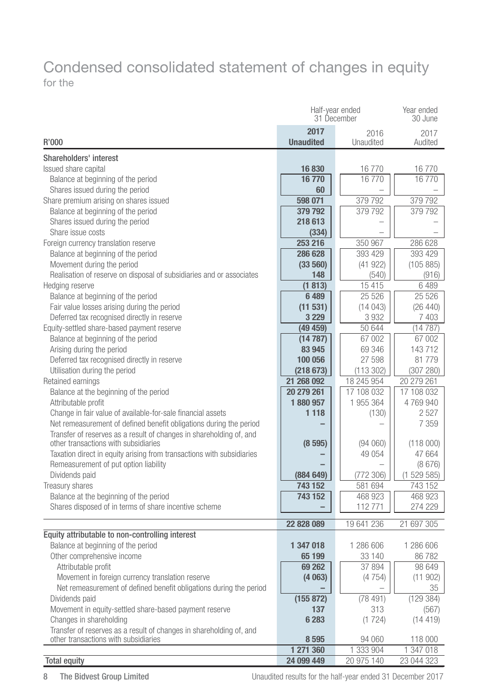## Condensed consolidated statement of changes in equity for the

|                                                                       | Half-year ended<br>31 December | Year ended<br>30 June |                      |
|-----------------------------------------------------------------------|--------------------------------|-----------------------|----------------------|
| R'000                                                                 | 2017<br><b>Unaudited</b>       | 2016<br>Unaudited     | 2017<br>Audited      |
|                                                                       |                                |                       |                      |
| Shareholders' interest                                                |                                |                       |                      |
| Issued share capital                                                  | 16830                          | 16 770                | 16770                |
| Balance at beginning of the period                                    | 16770                          | 16770                 | 16770                |
| Shares issued during the period                                       | 60                             |                       |                      |
| Share premium arising on shares issued                                | 598 071<br>379 792             | 379 792               | 379 792              |
| Balance at beginning of the period<br>Shares issued during the period | 218 613                        | 379 792               | 379 792              |
| Share issue costs                                                     |                                |                       |                      |
| Foreign currency translation reserve                                  | (334)<br>253 216               | 350 967               | 286 628              |
|                                                                       | 286 628                        |                       |                      |
| Balance at beginning of the period<br>Movement during the period      |                                | 393 429<br>(41922)    | 393 429<br>(105 885) |
| Realisation of reserve on disposal of subsidiaries and or associates  | (33 560)<br>148                | (540)                 |                      |
| Hedging reserve                                                       |                                | 15415                 | (916)<br>6489        |
| Balance at beginning of the period                                    | (1813)<br>6489                 | 25 5 26               | 25 5 26              |
| Fair value losses arising during the period                           | (11 531)                       | (14043)               | (26 440)             |
| Deferred tax recognised directly in reserve                           | 3 2 2 9                        | 3932                  | 7403                 |
| Equity-settled share-based payment reserve                            | (49459)                        | 50 644                | (14787)              |
| Balance at beginning of the period                                    | (14787)                        | 67 002                | 67 002               |
| Arising during the period                                             | 83 945                         | 69 346                | 143712               |
| Deferred tax recognised directly in reserve                           | 100 056                        | 27 598                | 81 779               |
| Utilisation during the period                                         | (218673)                       | (113302)              | (307 280)            |
| Retained earnings                                                     | 21 268 092                     | 18 245 954            | 20 279 261           |
| Balance at the beginning of the period                                | 20 279 261                     | 17 108 032            | 17 108 032           |
| Attributable profit                                                   | 1880957                        | 1 955 364             | 4769940              |
| Change in fair value of available-for-sale financial assets           | 1 1 1 8                        | (130)                 | 2 5 2 7              |
| Net remeasurement of defined benefit obligations during the period    |                                |                       | 7 3 5 9              |
| Transfer of reserves as a result of changes in shareholding of, and   |                                |                       |                      |
| other transactions with subsidiaries                                  | (8595)                         | (94060)               | (118000)             |
| Taxation direct in equity arising from transactions with subsidiaries |                                | 49 054                | 47 664               |
| Remeasurement of put option liability                                 |                                |                       | (8676)               |
| Dividends paid                                                        | (884649)                       | (772306)              | (1529585)            |
| Treasury shares                                                       | 743 152                        | 581 694               | 743 152              |
| Balance at the beginning of the period                                | 743 152                        | 468 923               | 468 923              |
| Shares disposed of in terms of share incentive scheme                 |                                | 112771                | 274 229              |
|                                                                       | 22 828 089                     | 19 641 236            | 21 697 305           |
| Equity attributable to non-controlling interest                       |                                |                       |                      |
| Balance at beginning of the period                                    | 1 347 018                      | 1 286 606             | 1 286 606            |
| Other comprehensive income                                            | 65 199                         | 33 140                | 86782                |
| Attributable profit                                                   | 69 262                         | 37 894                | 98 649               |
| Movement in foreign currency translation reserve                      | (4063)                         | (4754)                | (11902)              |
| Net remeasurement of defined benefit obligations during the period    |                                |                       | 35                   |
| Dividends paid                                                        | (155 872)                      | (78491)               | (129384)             |
| Movement in equity-settled share-based payment reserve                | 137                            | 313                   | (567)                |
| Changes in shareholding                                               | 6 283                          | (1724)                | (14419)              |
| Transfer of reserves as a result of changes in shareholding of, and   |                                |                       |                      |
| other transactions with subsidiaries                                  | 8595                           | 94 060                | 118 000              |
|                                                                       | 1 271 360                      | 1 333 904             | 1 347 018            |
| <b>Total equity</b>                                                   | 24 099 449                     | 20 975 140            | 23 044 323           |

8 The Bidvest Group Limited **Interpret Constant Constant Constant** Unaudited results for the half-year ended 31 December 2017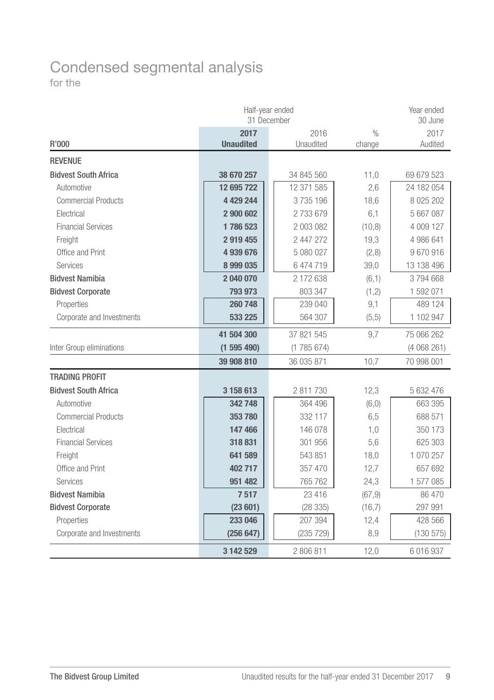## Condensed segmental analysis for the

| Half-year ended<br>31 December |                  |            |               | Year ended<br>30 June |
|--------------------------------|------------------|------------|---------------|-----------------------|
|                                | 2017             | 2016       | $\frac{0}{0}$ | 2017                  |
| R'000                          | <b>Unaudited</b> | Unaudited  | change        | Audited               |
| <b>REVENUE</b>                 |                  |            |               |                       |
| <b>Bidvest South Africa</b>    | 38 670 257       | 34 845 560 | 11,0          | 69 679 523            |
| Automotive                     | 12 695 722       | 12 371 585 | 2,6           | 24 182 054            |
| <b>Commercial Products</b>     | 4 429 244        | 3735196    | 18,6          | 8 0 25 20 2           |
| Electrical                     | 2 900 602        | 2733679    | 6,1           | 5 667 087             |
| <b>Financial Services</b>      | 1786523          | 2 003 082  | (10, 8)       | 4 009 127             |
| Freight                        | 2919455          | 2 447 272  | 19,3          | 4 986 641             |
| Office and Print               | 4 939 676        | 5 080 027  | (2,8)         | 9670916               |
| <b>Services</b>                | 8 999 035        | 6 474 719  | 39,0          | 13 138 496            |
| <b>Bidvest Namibia</b>         | 2 040 070        | 2 172 638  | (6,1)         | 3794668               |
| <b>Bidvest Corporate</b>       | 793 973          | 803 347    | (1, 2)        | 1 592 071             |
| Properties                     | 260 748          | 239 040    | 9,1           | 489 124               |
| Corporate and Investments      | 533 225          | 564 307    | (5,5)         | 1 102 947             |
|                                | 41 504 300       | 37 821 545 | 9.7           | 75 066 262            |
| Inter Group eliminations       | (1595490)        | (1785674)  |               | (4068261)             |
|                                | 39 908 810       | 36 035 871 | 10,7          | 70 998 001            |
| <b>TRADING PROFIT</b>          |                  |            |               |                       |
| <b>Bidvest South Africa</b>    | 3 158 613        | 2 811 730  | 12,3          | 5 632 476             |
| Automotive                     | 342 748          | 364 496    | (6, 0)        | 663 395               |
| <b>Commercial Products</b>     | 353780           | 332 117    | 6,5           | 688 571               |
| Electrical                     | 147 466          | 146 078    | 1,0           | 350 173               |
| <b>Financial Services</b>      | 318 831          | 301 956    | 5,6           | 625 303               |
| Freight                        | 641 589          | 543 851    | 18,0          | 1 070 257             |
| Office and Print               | 402 717          | 357 470    | 12,7          | 657 692               |
| Services                       | 951 482          | 765 762    | 24,3          | 1 577 085             |
| <b>Bidvest Namibia</b>         | 7517             | 23 416     | (67, 9)       | 86 470                |
| <b>Bidvest Corporate</b>       | (23601)          | (28335)    | (16,7)        | 297 991               |
| Properties                     | 233 046          | 207 394    | 12,4          | 428 566               |
| Corporate and Investments      | (256647)         | (235 729)  | 8,9           | (130 575)             |
|                                | 3 142 529        | 2806811    | 12,0          | 6 016 937             |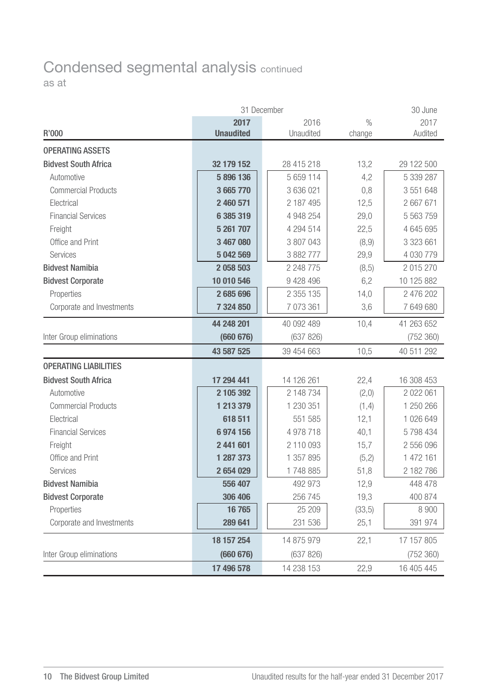## Condensed segmental analysis continued as at

| 31 December<br>30 June       |                  |            |               |            |  |
|------------------------------|------------------|------------|---------------|------------|--|
|                              | 2017             | 2016       | $\frac{0}{0}$ | 2017       |  |
| R'000                        | <b>Unaudited</b> | Unaudited  | change        | Audited    |  |
| <b>OPERATING ASSETS</b>      |                  |            |               |            |  |
| <b>Bidvest South Africa</b>  | 32 179 152       | 28 415 218 | 13.2          | 29 122 500 |  |
| Automotive                   | 5896136          | 5 659 114  | 4,2           | 5 339 287  |  |
| <b>Commercial Products</b>   | 3 665 770        | 3 636 021  | 0,8           | 3 551 648  |  |
| Electrical                   | 2 460 571        | 2 187 495  | 12,5          | 2667671    |  |
| <b>Financial Services</b>    | 6 385 319        | 4 948 254  | 29,0          | 5 563 759  |  |
| Freight                      | 5 261 707        | 4 294 514  | 22,5          | 4 645 695  |  |
| Office and Print             | 3 467 080        | 3 807 043  | (8, 9)        | 3 323 661  |  |
| Services                     | 5 042 569        | 3 882 777  | 29,9          | 4 030 779  |  |
| <b>Bidvest Namibia</b>       | 2058503          | 2 248 775  | (8, 5)        | 2 015 270  |  |
| <b>Bidvest Corporate</b>     | 10 010 546       | 9 428 496  | 6,2           | 10 125 882 |  |
| Properties                   | 2685696          | 2 355 135  | 14,0          | 2 476 202  |  |
| Corporate and Investments    | 7 324 850        | 7 073 361  | 3,6           | 7 649 680  |  |
|                              | 44 248 201       | 40 092 489 | 10.4          | 41 263 652 |  |
| Inter Group eliminations     | (660676)         | (637 826)  |               | (752 360)  |  |
|                              | 43 587 525       | 39 454 663 | 10,5          | 40 511 292 |  |
| <b>OPERATING LIABILITIES</b> |                  |            |               |            |  |
| <b>Bidvest South Africa</b>  | 17 294 441       | 14 126 261 | 22,4          | 16 308 453 |  |
| Automotive                   | 2 105 392        | 2 148 734  | (2,0)         | 2 022 061  |  |
| <b>Commercial Products</b>   | 1 213 379        | 1 230 351  | (1, 4)        | 1 250 266  |  |
| Electrical                   | 618511           | 551 585    | 12,1          | 1 026 649  |  |
| <b>Financial Services</b>    | 6974156          | 4 978 718  | 40,1          | 5798434    |  |
| Freight                      | 2 441 601        | 2110093    | 15,7          | 2 556 096  |  |
| Office and Print             | 1 287 373        | 1 357 895  | (5,2)         | 1 472 161  |  |
| Services                     | 2 654 029        | 1748885    | 51,8          | 2 182 786  |  |
| <b>Bidvest Namibia</b>       | 556 407          | 492 973    | 12,9          | 448 478    |  |
| <b>Bidvest Corporate</b>     | 306 406          | 256 745    | 19,3          | 400 874    |  |
| Properties                   | 16765            | 25 209     | (33,5)        | 8 900      |  |
| Corporate and Investments    | 289 641          | 231 536    | 25,1          | 391 974    |  |
|                              | 18 157 254       | 14 875 979 | 22,1          | 17 157 805 |  |
| Inter Group eliminations     | (660676)         | (637 826)  |               | (752 360)  |  |
|                              | 17 496 578       | 14 238 153 | 22.9          | 16 405 445 |  |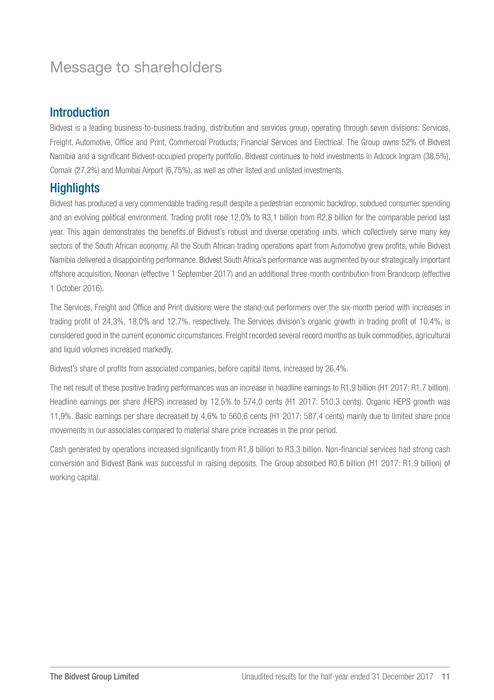## Message to shareholders

#### Introduction

Bidvest is a leading business-to-business trading, distribution and services group, operating through seven divisions: Services, Freight, Automotive, Office and Print, Commercial Products, Financial Services and Electrical. The Group owns 52% of Bidvest Namibia and a significant Bidvest-occupied property portfolio. Bidvest continues to hold investments in Adcock Ingram (38,5%), Comair (27,2%) and Mumbai Airport (6,75%), as well as other listed and unlisted investments.

## **Highlights**

Bidvest has produced a very commendable trading result despite a pedestrian economic backdrop, subdued consumer spending and an evolving political environment. Trading profit rose 12,0% to R3,1 billion from R2,8 billion for the comparable period last year. This again demonstrates the benefits of Bidvest's robust and diverse operating units, which collectively serve many key sectors of the South African economy. All the South African trading operations apart from Automotive grew profits, while Bidvest Namibia delivered a disappointing performance. Bidvest South Africa's performance was augmented by our strategically important offshore acquisition, Noonan (effective 1 September 2017) and an additional three-month contribution from Brandcorp (effective 1 October 2016).

The Services, Freight and Office and Print divisions were the stand-out performers over the six-month period with increases in trading profit of 24,3%, 18,0% and 12,7%, respectively. The Services division's organic growth in trading profit of 10,4%, is considered good in the current economic circumstances. Freight recorded several record months as bulk commodities, agricultural and liquid volumes increased markedly.

Bidvest's share of profits from associated companies, before capital items, increased by 26,4%.

The net result of these positive trading performances was an increase in headline earnings to R1,9 billion (H1 2017: R1,7 billion). Headline earnings per share (HEPS) increased by 12,5% to 574.0 cents (H1 2017: 510.3 cents). Organic HEPS growth was 11,9%. Basic earnings per share decreased by 4,6% to 560,6 cents (H1 2017: 587,4 cents) mainly due to limited share price movements in our associates compared to material share price increases in the prior period.

Cash generated by operations increased significantly from R1,8 billion to R3,3 billion. Non-financial services had strong cash conversion and Bidvest Bank was successful in raising deposits. The Group absorbed R0,6 billion (H1 2017: R1,9 billion) of working capital.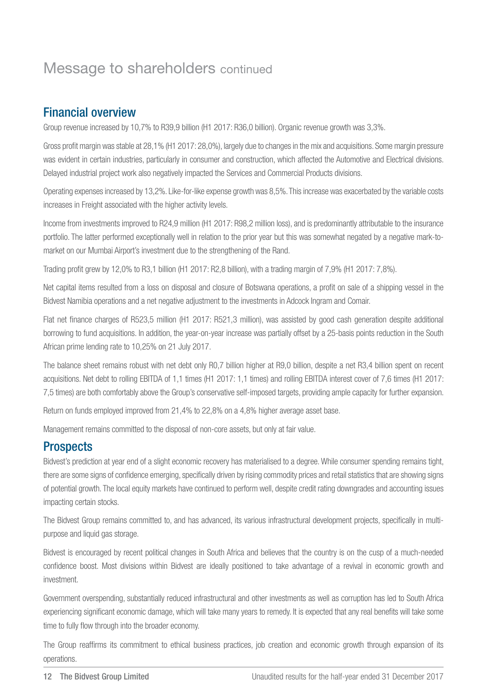## Message to shareholders continued

#### Financial overview

Group revenue increased by 10,7% to R39,9 billion (H1 2017: R36,0 billion). Organic revenue growth was 3,3%.

Gross profit margin was stable at 28,1% (H1 2017: 28,0%), largely due to changes in the mix and acquisitions. Some margin pressure was evident in certain industries, particularly in consumer and construction, which affected the Automotive and Electrical divisions. Delayed industrial project work also negatively impacted the Services and Commercial Products divisions.

Operating expenses increased by 13,2%. Like-for-like expense growth was 8,5%. This increase was exacerbated by the variable costs increases in Freight associated with the higher activity levels.

Income from investments improved to R24,9 million (H1 2017: R98,2 million loss), and is predominantly attributable to the insurance portfolio. The latter performed exceptionally well in relation to the prior year but this was somewhat negated by a negative mark-tomarket on our Mumbai Airport's investment due to the strengthening of the Rand.

Trading profit grew by 12,0% to R3,1 billion (H1 2017: R2,8 billion), with a trading margin of 7,9% (H1 2017: 7,8%).

Net capital items resulted from a loss on disposal and closure of Botswana operations, a profit on sale of a shipping vessel in the Bidvest Namibia operations and a net negative adjustment to the investments in Adcock Ingram and Comair.

Flat net finance charges of R523,5 million (H1 2017: R521,3 million), was assisted by good cash generation despite additional borrowing to fund acquisitions. In addition, the year-on-year increase was partially offset by a 25-basis points reduction in the South African prime lending rate to 10,25% on 21 July 2017.

The balance sheet remains robust with net debt only R0,7 billion higher at R9,0 billion, despite a net R3,4 billion spent on recent acquisitions. Net debt to rolling EBITDA of 1,1 times (H1 2017: 1,1 times) and rolling EBITDA interest cover of 7,6 times (H1 2017: 7,5 times) are both comfortably above the Group's conservative self-imposed targets, providing ample capacity for further expansion.

Return on funds employed improved from 21,4% to 22,8% on a 4,8% higher average asset base.

Management remains committed to the disposal of non-core assets, but only at fair value.

## **Prospects**

Bidvest's prediction at year end of a slight economic recovery has materialised to a degree. While consumer spending remains tight, there are some signs of confidence emerging, specifically driven by rising commodity prices and retail statistics that are showing signs of potential growth. The local equity markets have continued to perform well, despite credit rating downgrades and accounting issues impacting certain stocks.

The Bidvest Group remains committed to, and has advanced, its various infrastructural development projects, specifically in multipurpose and liquid gas storage.

Bidvest is encouraged by recent political changes in South Africa and believes that the country is on the cusp of a much-needed confidence boost. Most divisions within Bidvest are ideally positioned to take advantage of a revival in economic growth and investment.

Government overspending, substantially reduced infrastructural and other investments as well as corruption has led to South Africa experiencing significant economic damage, which will take many years to remedy. It is expected that any real benefits will take some time to fully flow through into the broader economy.

The Group reaffirms its commitment to ethical business practices, job creation and economic growth through expansion of its operations.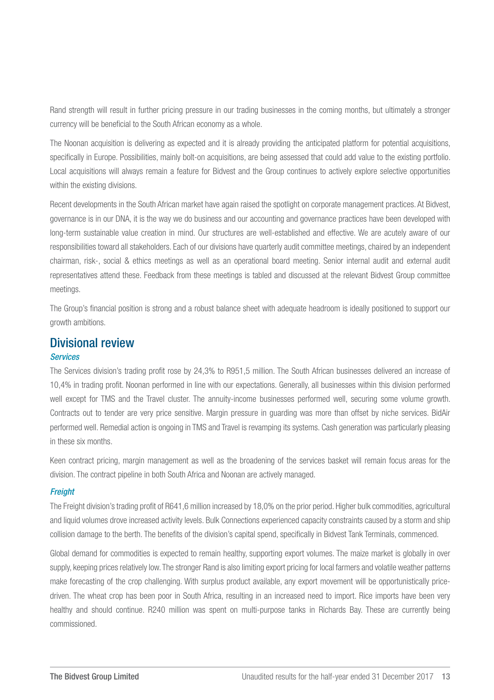Rand strength will result in further pricing pressure in our trading businesses in the coming months, but ultimately a stronger currency will be beneficial to the South African economy as a whole.

The Noonan acquisition is delivering as expected and it is already providing the anticipated platform for potential acquisitions, specifically in Europe. Possibilities, mainly bolt-on acquisitions, are being assessed that could add value to the existing portfolio. Local acquisitions will always remain a feature for Bidvest and the Group continues to actively explore selective opportunities within the existing divisions.

Recent developments in the South African market have again raised the spotlight on corporate management practices. At Bidvest, governance is in our DNA, it is the way we do business and our accounting and governance practices have been developed with long-term sustainable value creation in mind. Our structures are well-established and effective. We are acutely aware of our responsibilities toward all stakeholders. Each of our divisions have quarterly audit committee meetings, chaired by an independent chairman, risk-, social & ethics meetings as well as an operational board meeting. Senior internal audit and external audit representatives attend these. Feedback from these meetings is tabled and discussed at the relevant Bidvest Group committee meetings.

The Group's financial position is strong and a robust balance sheet with adequate headroom is ideally positioned to support our growth ambitions.

## Divisional review

#### *Services*

The Services division's trading profit rose by 24,3% to R951,5 million. The South African businesses delivered an increase of 10,4% in trading profit. Noonan performed in line with our expectations. Generally, all businesses within this division performed well except for TMS and the Travel cluster. The annuity-income businesses performed well, securing some volume growth. Contracts out to tender are very price sensitive. Margin pressure in guarding was more than offset by niche services. BidAir performed well. Remedial action is ongoing in TMS and Travel is revamping its systems. Cash generation was particularly pleasing in these six months.

Keen contract pricing, margin management as well as the broadening of the services basket will remain focus areas for the division. The contract pipeline in both South Africa and Noonan are actively managed.

#### *Freight*

The Freight division's trading profit of R641,6 million increased by 18,0% on the prior period. Higher bulk commodities, agricultural and liquid volumes drove increased activity levels. Bulk Connections experienced capacity constraints caused by a storm and ship collision damage to the berth. The benefits of the division's capital spend, specifically in Bidvest Tank Terminals, commenced.

Global demand for commodities is expected to remain healthy, supporting export volumes. The maize market is globally in over supply, keeping prices relatively low. The stronger Rand is also limiting export pricing for local farmers and volatile weather patterns make forecasting of the crop challenging. With surplus product available, any export movement will be opportunistically pricedriven. The wheat crop has been poor in South Africa, resulting in an increased need to import. Rice imports have been very healthy and should continue. R240 million was spent on multi-purpose tanks in Richards Bay. These are currently being commissioned.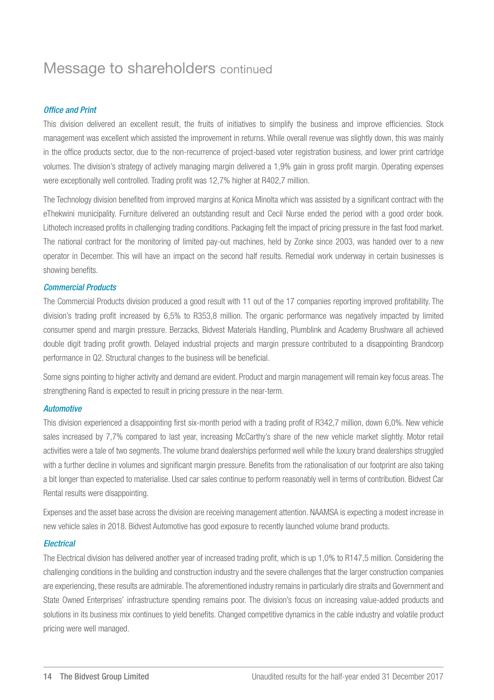## Message to shareholders continued

#### *Office and Print*

This division delivered an excellent result, the fruits of initiatives to simplify the business and improve efficiencies. Stock management was excellent which assisted the improvement in returns. While overall revenue was slightly down, this was mainly in the office products sector, due to the non-recurrence of project-based voter registration business, and lower print cartridge volumes. The division's strategy of actively managing margin delivered a 1,9% gain in gross profit margin. Operating expenses were exceptionally well controlled. Trading profit was 12,7% higher at R402,7 million.

The Technology division benefited from improved margins at Konica Minolta which was assisted by a significant contract with the eThekwini municipality. Furniture delivered an outstanding result and Cecil Nurse ended the period with a good order book. Lithotech increased profits in challenging trading conditions. Packaging felt the impact of pricing pressure in the fast food market. The national contract for the monitoring of limited pay-out machines, held by Zonke since 2003, was handed over to a new operator in December. This will have an impact on the second half results. Remedial work underway in certain businesses is showing benefits.

#### *Commercial Products*

The Commercial Products division produced a good result with 11 out of the 17 companies reporting improved profitability. The division's trading profit increased by 6,5% to R353,8 million. The organic performance was negatively impacted by limited consumer spend and margin pressure. Berzacks, Bidvest Materials Handling, Plumblink and Academy Brushware all achieved double digit trading profit growth. Delayed industrial projects and margin pressure contributed to a disappointing Brandcorp performance in Q2. Structural changes to the business will be beneficial.

Some signs pointing to higher activity and demand are evident. Product and margin management will remain key focus areas. The strengthening Rand is expected to result in pricing pressure in the near-term.

#### *Automotive*

This division experienced a disappointing first six-month period with a trading profit of R342,7 million, down 6,0%. New vehicle sales increased by 7,7% compared to last year, increasing McCarthy's share of the new vehicle market slightly. Motor retail activities were a tale of two segments. The volume brand dealerships performed well while the luxury brand dealerships struggled with a further decline in volumes and significant margin pressure. Benefits from the rationalisation of our footprint are also taking a bit longer than expected to materialise. Used car sales continue to perform reasonably well in terms of contribution. Bidvest Car Rental results were disappointing.

Expenses and the asset base across the division are receiving management attention. NAAMSA is expecting a modest increase in new vehicle sales in 2018. Bidvest Automotive has good exposure to recently launched volume brand products.

#### *Electrical*

The Electrical division has delivered another year of increased trading profit, which is up 1,0% to R147,5 million. Considering the challenging conditions in the building and construction industry and the severe challenges that the larger construction companies are experiencing, these results are admirable. The aforementioned industry remains in particularly dire straits and Government and State Owned Enterprises' infrastructure spending remains poor. The division's focus on increasing value-added products and solutions in its business mix continues to yield benefits. Changed competitive dynamics in the cable industry and volatile product pricing were well managed.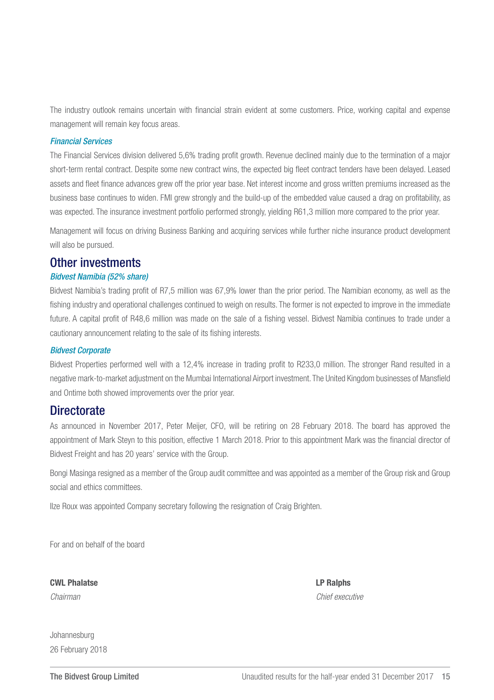The industry outlook remains uncertain with financial strain evident at some customers. Price, working capital and expense management will remain key focus areas.

#### *Financial Services*

The Financial Services division delivered 5,6% trading profit growth. Revenue declined mainly due to the termination of a major short-term rental contract. Despite some new contract wins, the expected big fleet contract tenders have been delayed. Leased assets and fleet finance advances grew off the prior year base. Net interest income and gross written premiums increased as the business base continues to widen. FMI grew strongly and the build-up of the embedded value caused a drag on profitability, as was expected. The insurance investment portfolio performed strongly, yielding R61,3 million more compared to the prior year.

Management will focus on driving Business Banking and acquiring services while further niche insurance product development will also be pursued.

#### Other investments

#### *Bidvest Namibia (52% share)*

Bidvest Namibia's trading profit of R7,5 million was 67,9% lower than the prior period. The Namibian economy, as well as the fishing industry and operational challenges continued to weigh on results. The former is not expected to improve in the immediate future. A capital profit of R48,6 million was made on the sale of a fishing vessel. Bidvest Namibia continues to trade under a cautionary announcement relating to the sale of its fishing interests.

#### *Bidvest Corporate*

Bidvest Properties performed well with a 12,4% increase in trading profit to R233,0 million. The stronger Rand resulted in a negative mark-to-market adjustment on the Mumbai International Airport investment. The United Kingdom businesses of Mansfield and Ontime both showed improvements over the prior year.

#### **Directorate**

As announced in November 2017, Peter Meijer, CFO, will be retiring on 28 February 2018. The board has approved the appointment of Mark Steyn to this position, effective 1 March 2018. Prior to this appointment Mark was the financial director of Bidvest Freight and has 20 years' service with the Group.

Bongi Masinga resigned as a member of the Group audit committee and was appointed as a member of the Group risk and Group social and ethics committees.

Ilze Roux was appointed Company secretary following the resignation of Craig Brighten.

For and on behalf of the board

CWL Phalatse LP Ralphs

*Chairman Chief executive*

Johannesburg 26 February 2018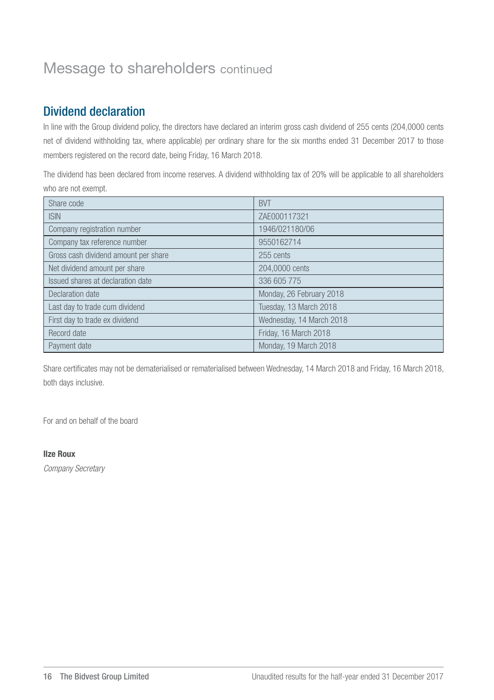## Message to shareholders continued

## Dividend declaration

In line with the Group dividend policy, the directors have declared an interim gross cash dividend of 255 cents (204,0000 cents net of dividend withholding tax, where applicable) per ordinary share for the six months ended 31 December 2017 to those members registered on the record date, being Friday, 16 March 2018.

The dividend has been declared from income reserves. A dividend withholding tax of 20% will be applicable to all shareholders who are not exempt.

| Share code                           | <b>BVT</b>               |
|--------------------------------------|--------------------------|
| <b>ISIN</b>                          | ZAE000117321             |
| Company registration number          | 1946/021180/06           |
| Company tax reference number         | 9550162714               |
| Gross cash dividend amount per share | 255 cents                |
| Net dividend amount per share        | 204,0000 cents           |
| Issued shares at declaration date    | 336 605 775              |
| Declaration date                     | Monday, 26 February 2018 |
| Last day to trade cum dividend       | Tuesday, 13 March 2018   |
| First day to trade ex dividend       | Wednesday, 14 March 2018 |
| Record date                          | Friday, 16 March 2018    |
| Payment date                         | Monday, 19 March 2018    |

Share certificates may not be dematerialised or rematerialised between Wednesday, 14 March 2018 and Friday, 16 March 2018, both days inclusive.

For and on behalf of the board

#### Ilze Roux

*Company Secretary*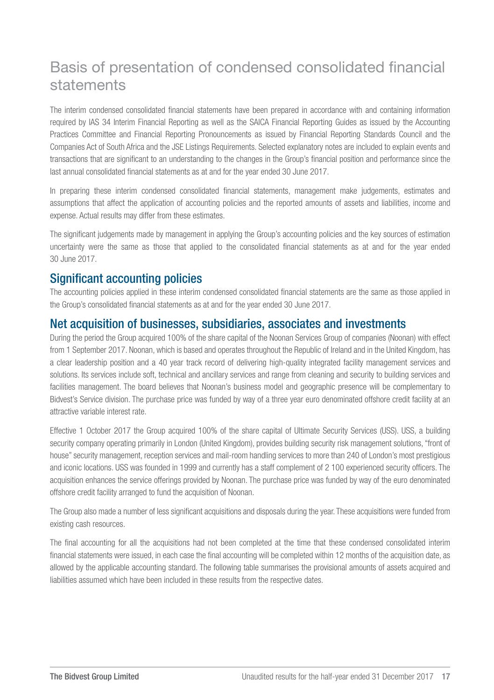## Basis of presentation of condensed consolidated financial statements

The interim condensed consolidated financial statements have been prepared in accordance with and containing information required by IAS 34 Interim Financial Reporting as well as the SAICA Financial Reporting Guides as issued by the Accounting Practices Committee and Financial Reporting Pronouncements as issued by Financial Reporting Standards Council and the Companies Act of South Africa and the JSE Listings Requirements. Selected explanatory notes are included to explain events and transactions that are significant to an understanding to the changes in the Group's financial position and performance since the last annual consolidated financial statements as at and for the year ended 30 June 2017.

In preparing these interim condensed consolidated financial statements, management make judgements, estimates and assumptions that affect the application of accounting policies and the reported amounts of assets and liabilities, income and expense. Actual results may differ from these estimates.

The significant judgements made by management in applying the Group's accounting policies and the key sources of estimation uncertainty were the same as those that applied to the consolidated financial statements as at and for the year ended 30 June 2017.

#### Significant accounting policies

The accounting policies applied in these interim condensed consolidated financial statements are the same as those applied in the Group's consolidated financial statements as at and for the year ended 30 June 2017.

#### Net acquisition of businesses, subsidiaries, associates and investments

During the period the Group acquired 100% of the share capital of the Noonan Services Group of companies (Noonan) with effect from 1 September 2017. Noonan, which is based and operates throughout the Republic of Ireland and in the United Kingdom, has a clear leadership position and a 40 year track record of delivering high-quality integrated facility management services and solutions. Its services include soft, technical and ancillary services and range from cleaning and security to building services and facilities management. The board believes that Noonan's business model and geographic presence will be complementary to Bidvest's Service division. The purchase price was funded by way of a three year euro denominated offshore credit facility at an attractive variable interest rate.

Effective 1 October 2017 the Group acquired 100% of the share capital of Ultimate Security Services (USS). USS, a building security company operating primarily in London (United Kingdom), provides building security risk management solutions, "front of house" security management, reception services and mail-room handling services to more than 240 of London's most prestigious and iconic locations. USS was founded in 1999 and currently has a staff complement of 2 100 experienced security officers. The acquisition enhances the service offerings provided by Noonan. The purchase price was funded by way of the euro denominated offshore credit facility arranged to fund the acquisition of Noonan.

The Group also made a number of less significant acquisitions and disposals during the year. These acquisitions were funded from existing cash resources.

The final accounting for all the acquisitions had not been completed at the time that these condensed consolidated interim financial statements were issued, in each case the final accounting will be completed within 12 months of the acquisition date, as allowed by the applicable accounting standard. The following table summarises the provisional amounts of assets acquired and liabilities assumed which have been included in these results from the respective dates.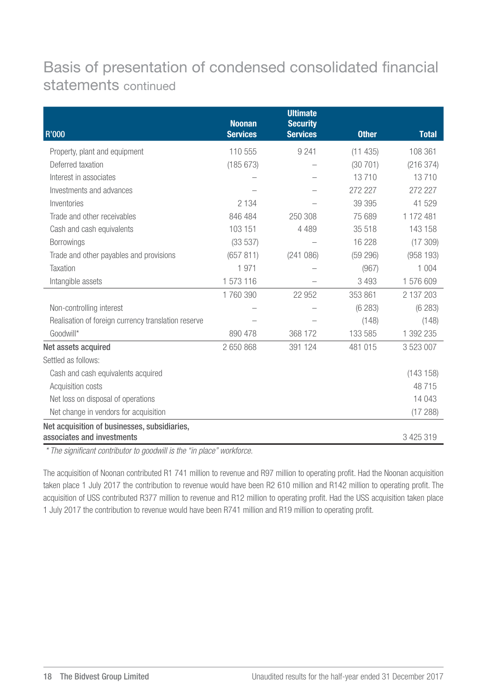## Basis of presentation of condensed consolidated financial statements continued

|                                                     | <b>Noonan</b>   | <b>Ultimate</b><br><b>Security</b> |              |              |
|-----------------------------------------------------|-----------------|------------------------------------|--------------|--------------|
| <b>R'000</b>                                        | <b>Services</b> | <b>Services</b>                    | <b>Other</b> | <b>Total</b> |
| Property, plant and equipment                       | 110 555         | 9 2 4 1                            | (11435)      | 108 361      |
| Deferred taxation                                   | (185 673)       |                                    | (30701)      | (216374)     |
| Interest in associates                              |                 |                                    | 13710        | 13710        |
| Investments and advances                            |                 |                                    | 272 227      | 272 227      |
| Inventories                                         | 2 1 3 4         |                                    | 39 395       | 41 529       |
| Trade and other receivables                         | 846 484         | 250 308                            | 75 689       | 1 172 481    |
| Cash and cash equivalents                           | 103 151         | 4 4 8 9                            | 35 518       | 143 158      |
| Borrowings                                          | (33537)         |                                    | 16 228       | (17309)      |
| Trade and other payables and provisions             | (657 811)       | (241086)                           | (59 296)     | (958193)     |
| Taxation                                            | 1 971           |                                    | (967)        | 1 0 0 4      |
| Intangible assets                                   | 1573116         |                                    | 3 4 9 3      | 1576609      |
|                                                     | 1760390         | 22 952                             | 353 861      | 2 137 203    |
| Non-controlling interest                            |                 |                                    | (6283)       | (6283)       |
| Realisation of foreign currency translation reserve |                 |                                    | (148)        | (148)        |
| Goodwill*                                           | 890 478         | 368 172                            | 133 585      | 1 392 235    |
| Net assets acquired                                 | 2 650 868       | 391 124                            | 481 015      | 3 523 007    |
| Settled as follows:                                 |                 |                                    |              |              |
| Cash and cash equivalents acquired                  |                 |                                    |              | (143158)     |
| Acquisition costs                                   |                 |                                    |              | 48715        |
| Net loss on disposal of operations                  |                 |                                    |              | 14 043       |
| Net change in vendors for acquisition               |                 |                                    |              | (17288)      |
| Net acquisition of businesses, subsidiaries,        |                 |                                    |              |              |
| associates and investments                          |                 |                                    |              | 3 425 319    |

 *\* The significant contributor to goodwill is the "in place" workforce.* 

The acquisition of Noonan contributed R1 741 million to revenue and R97 million to operating profit. Had the Noonan acquisition taken place 1 July 2017 the contribution to revenue would have been R2 610 million and R142 million to operating profit. The acquisition of USS contributed R377 million to revenue and R12 million to operating profit. Had the USS acquisition taken place 1 July 2017 the contribution to revenue would have been R741 million and R19 million to operating profit.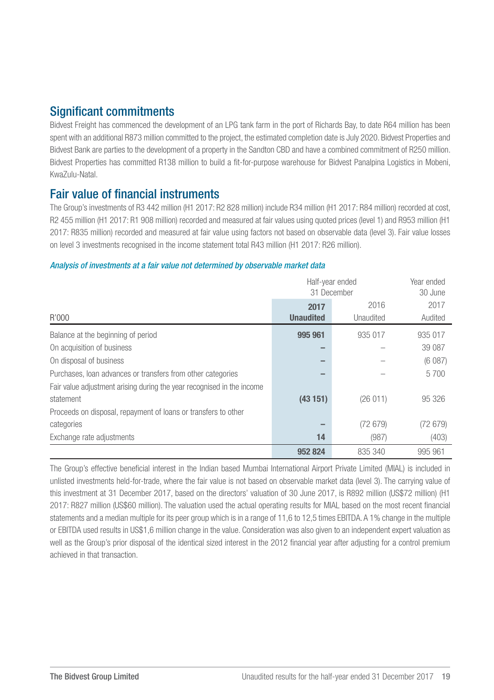## Significant commitments

Bidvest Freight has commenced the development of an LPG tank farm in the port of Richards Bay, to date R64 million has been spent with an additional R873 million committed to the project, the estimated completion date is July 2020. Bidvest Properties and Bidvest Bank are parties to the development of a property in the Sandton CBD and have a combined commitment of R250 million. Bidvest Properties has committed R138 million to build a fit-for-purpose warehouse for Bidvest Panalpina Logistics in Mobeni, KwaZulu-Natal.

#### Fair value of financial instruments

The Group's investments of R3 442 million (H1 2017: R2 828 million) include R34 million (H1 2017: R84 million) recorded at cost, R2 455 million (H1 2017: R1 908 million) recorded and measured at fair values using quoted prices (level 1) and R953 million (H1 2017: R835 million) recorded and measured at fair value using factors not based on observable data (level 3). Fair value losses on level 3 investments recognised in the income statement total R43 million (H1 2017: R26 million).

#### *Analysis of investments at a fair value not determined by observable market data*

|                                                                        |                          | Half-year ended<br>31 December |                 |
|------------------------------------------------------------------------|--------------------------|--------------------------------|-----------------|
| R'000                                                                  | 2017<br><b>Unaudited</b> | 2016<br>Unaudited              | 2017<br>Audited |
|                                                                        |                          |                                |                 |
| Balance at the beginning of period                                     | 995 961                  | 935 017                        | 935 017         |
| On acquisition of business                                             |                          |                                | 39 087          |
| On disposal of business                                                |                          |                                | (6087)          |
| Purchases, loan advances or transfers from other categories            |                          |                                | 5700            |
| Fair value adjustment arising during the year recognised in the income |                          |                                |                 |
| statement                                                              | (43151)                  | (26011)                        | 95 326          |
| Proceeds on disposal, repayment of loans or transfers to other         |                          |                                |                 |
| categories                                                             |                          | (72679)                        | (72679)         |
| Exchange rate adjustments                                              | 14                       | (987)                          | (403)           |
|                                                                        | 952 824                  | 835 340                        | 995 961         |

The Group's effective beneficial interest in the Indian based Mumbai International Airport Private Limited (MIAL) is included in unlisted investments held-for-trade, where the fair value is not based on observable market data (level 3). The carrying value of this investment at 31 December 2017, based on the directors' valuation of 30 June 2017, is R892 million (US\$72 million) (H1 2017: R827 million (US\$60 million). The valuation used the actual operating results for MIAL based on the most recent financial statements and a median multiple for its peer group which is in a range of 11,6 to 12,5 times EBITDA. A 1% change in the multiple or EBITDA used results in US\$1,6 million change in the value. Consideration was also given to an independent expert valuation as well as the Group's prior disposal of the identical sized interest in the 2012 financial year after adjusting for a control premium achieved in that transaction.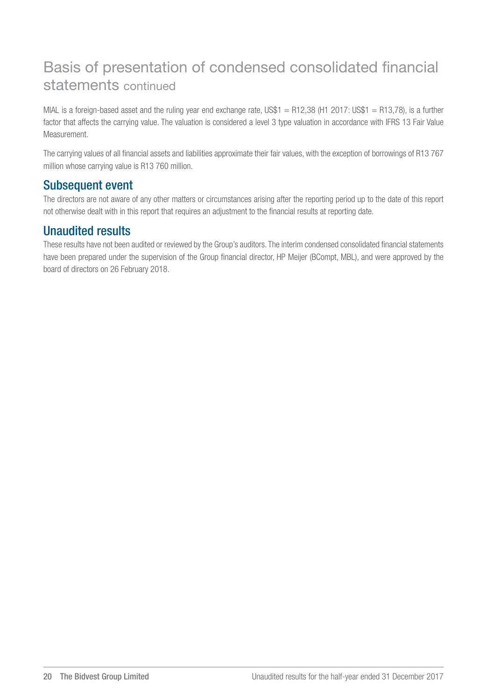## Basis of presentation of condensed consolidated financial statements continued

MIAL is a foreign-based asset and the ruling year end exchange rate, US\$1 = R12,38 (H1 2017: US\$1 = R13,78), is a further factor that affects the carrying value. The valuation is considered a level 3 type valuation in accordance with IFRS 13 Fair Value Measurement.

The carrying values of all financial assets and liabilities approximate their fair values, with the exception of borrowings of R13 767 million whose carrying value is R13 760 million.

## Subsequent event

The directors are not aware of any other matters or circumstances arising after the reporting period up to the date of this report not otherwise dealt with in this report that requires an adjustment to the financial results at reporting date.

#### Unaudited results

These results have not been audited or reviewed by the Group's auditors. The interim condensed consolidated financial statements have been prepared under the supervision of the Group financial director, HP Meijer (BCompt, MBL), and were approved by the board of directors on 26 February 2018.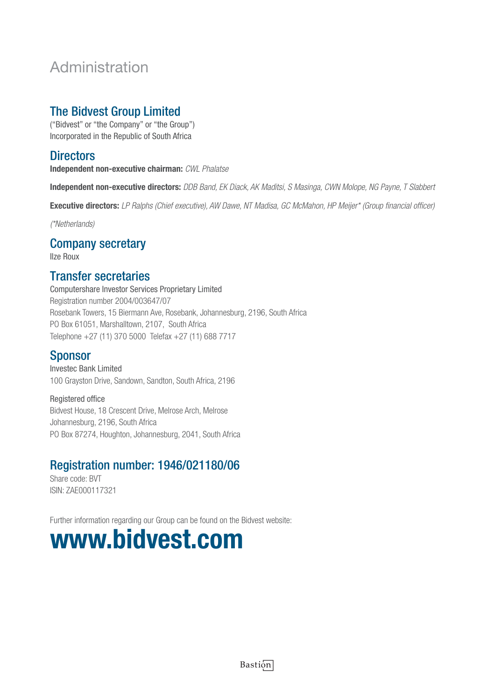## Administration

## The Bidvest Group Limited

("Bidvest" or "the Company" or "the Group") Incorporated in the Republic of South Africa

#### **Directors**

Independent non-executive chairman: *CWL Phalatse*

Independent non-executive directors: *DDB Band, EK Diack, AK Maditsi, S Masinga, CWN Molope, NG Payne, T Slabbert*

Executive directors: *LP Ralphs (Chief executive), AW Dawe, NT Madisa, GC McMahon, HP Meijer\* (Group financial officer)*

*(\*Netherlands)*

#### Company secretary

Ilze Roux

#### Transfer secretaries

Computershare Investor Services Proprietary Limited Registration number 2004/003647/07 Rosebank Towers, 15 Biermann Ave, Rosebank, Johannesburg, 2196, South Africa PO Box 61051, Marshalltown, 2107, South Africa Telephone +27 (11) 370 5000 Telefax +27 (11) 688 7717

#### **Sponsor**

Investec Bank Limited 100 Grayston Drive, Sandown, Sandton, South Africa, 2196

Registered office Bidvest House, 18 Crescent Drive, Melrose Arch, Melrose Johannesburg, 2196, South Africa PO Box 87274, Houghton, Johannesburg, 2041, South Africa

## Registration number: 1946/021180/06

Share code: BVT ISIN: ZAE000117321

Further information regarding our Group can be found on the Bidvest website:

## www.bidvest.com